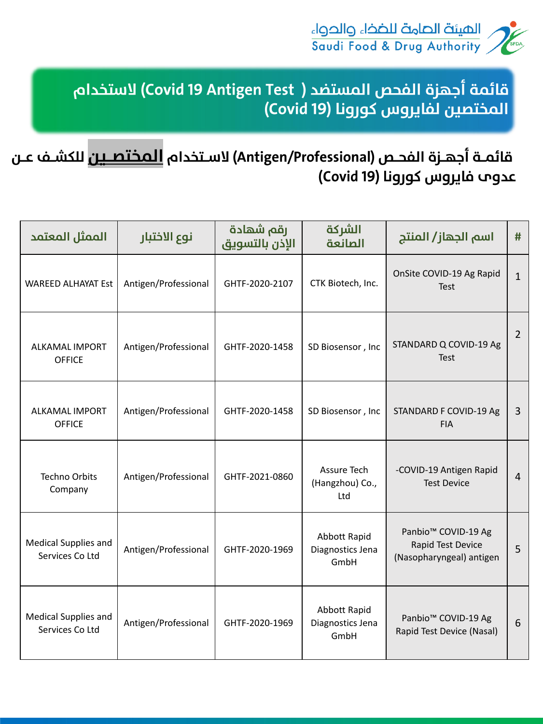

قائمــة أجهــزة الفحــص (Antigen/Professional) لاسـتخدام <mark>الـمختصــين</mark> للكشــف عــن عدوم فايروس كورونا (Covid 19)

| الممثل المعتمد                                 | نوع الاختبار         | رقم شهادة<br>الإذن بالتسويق | الشركة<br>الصانعة                               | اسم الجهاز/ المنتج                                                               | #              |
|------------------------------------------------|----------------------|-----------------------------|-------------------------------------------------|----------------------------------------------------------------------------------|----------------|
| <b>WAREED ALHAYAT Est</b>                      | Antigen/Professional | GHTF-2020-2107              | CTK Biotech, Inc.                               | OnSite COVID-19 Ag Rapid<br><b>Test</b>                                          | $\mathbf{1}$   |
| <b>ALKAMAL IMPORT</b><br><b>OFFICE</b>         | Antigen/Professional | GHTF-2020-1458              | SD Biosensor, Inc.                              | STANDARD Q COVID-19 Ag<br><b>Test</b>                                            | $\overline{2}$ |
| <b>ALKAMAL IMPORT</b><br><b>OFFICE</b>         | Antigen/Professional | GHTF-2020-1458              | SD Biosensor, Inc.                              | <b>STANDARD F COVID-19 Ag</b><br><b>FIA</b>                                      | $\overline{3}$ |
| <b>Techno Orbits</b><br>Company                | Antigen/Professional | GHTF-2021-0860              | Assure Tech<br>(Hangzhou) Co.,<br>Ltd           | -COVID-19 Antigen Rapid<br><b>Test Device</b>                                    | $\overline{4}$ |
| <b>Medical Supplies and</b><br>Services Co Ltd | Antigen/Professional | GHTF-2020-1969              | <b>Abbott Rapid</b><br>Diagnostics Jena<br>GmbH | Panbio <sup>™</sup> COVID-19 Ag<br>Rapid Test Device<br>(Nasopharyngeal) antigen | 5              |
| <b>Medical Supplies and</b><br>Services Co Ltd | Antigen/Professional | GHTF-2020-1969              | Abbott Rapid<br>Diagnostics Jena<br>GmbH        | Panbio <sup>™</sup> COVID-19 Ag<br>Rapid Test Device (Nasal)                     | 6              |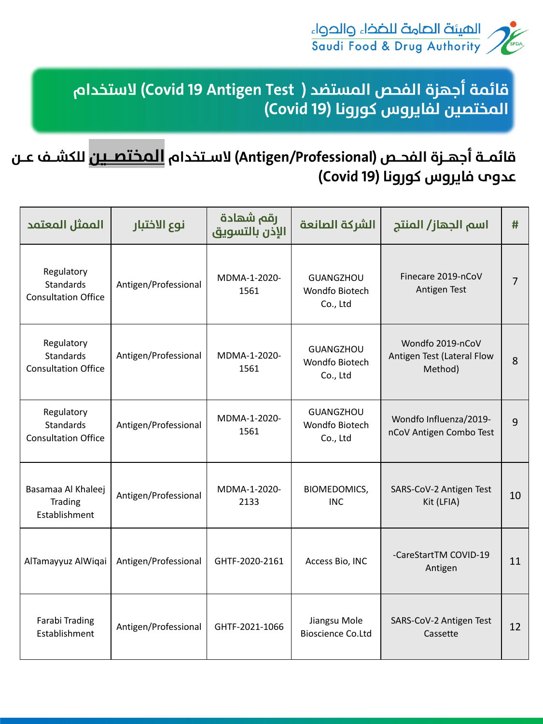

## قائمــة أجهــزة الفحــص (Antigen/Professional) لاســتخدام <mark>الـمختصــين</mark> للكشــف عــن عدوم فايروس كورونا (Covid 19)

| الممثل المعتمد                                               | نوع الاختبار         | رقم شهادة<br>الإذن بالتسويق | الشركة الصانعة                                        | اسم الجهاز/ المنتج                                               | #  |
|--------------------------------------------------------------|----------------------|-----------------------------|-------------------------------------------------------|------------------------------------------------------------------|----|
| Regulatory<br><b>Standards</b><br><b>Consultation Office</b> | Antigen/Professional | MDMA-1-2020-<br>1561        | <b>GUANGZHOU</b><br><b>Wondfo Biotech</b><br>Co., Ltd | Finecare 2019-nCoV<br><b>Antigen Test</b>                        |    |
| Regulatory<br><b>Standards</b><br><b>Consultation Office</b> | Antigen/Professional | MDMA-1-2020-<br>1561        | <b>GUANGZHOU</b><br><b>Wondfo Biotech</b><br>Co., Ltd | Wondfo 2019-nCoV<br><b>Antigen Test (Lateral Flow</b><br>Method) | 8  |
| Regulatory<br><b>Standards</b><br><b>Consultation Office</b> | Antigen/Professional | MDMA-1-2020-<br>1561        | <b>GUANGZHOU</b><br><b>Wondfo Biotech</b><br>Co., Ltd | Wondfo Influenza/2019-<br>nCoV Antigen Combo Test                | 9  |
| Basamaa Al Khaleej<br><b>Trading</b><br>Establishment        | Antigen/Professional | MDMA-1-2020-<br>2133        | <b>BIOMEDOMICS,</b><br><b>INC</b>                     | SARS-CoV-2 Antigen Test<br>Kit (LFIA)                            | 10 |
| AlTamayyuz AlWiqai                                           | Antigen/Professional | GHTF-2020-2161              | Access Bio, INC                                       | -CareStartTM COVID-19<br>Antigen                                 | 11 |
| <b>Farabi Trading</b><br>Establishment                       | Antigen/Professional | GHTF-2021-1066              | Jiangsu Mole<br><b>Bioscience Co.Ltd</b>              | SARS-CoV-2 Antigen Test<br>Cassette                              | 12 |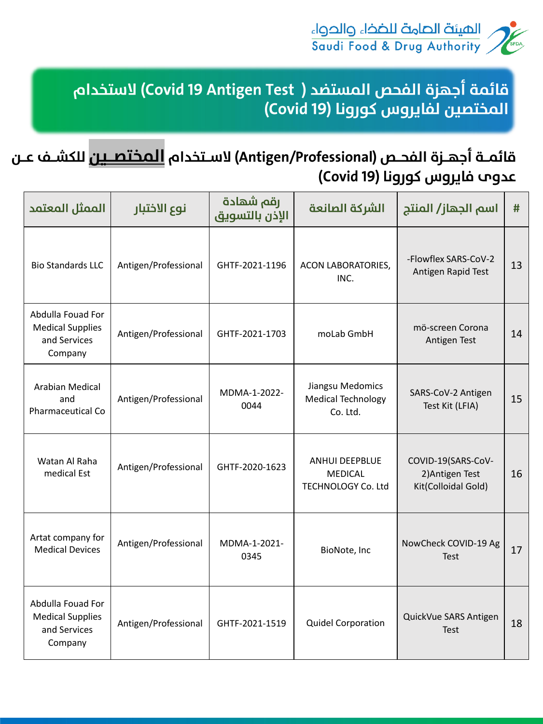

#### قائمــة أجهــزة الفحــص (Antigen/Professional) لاســتخدام <mark>الـمختصــين</mark> للكشــف عــن عدوم فايروس كورونا (Covid 19)

| الممثل المعتمد                                                          | نوع الاختبار         | رقم شهادة<br>الإذن بالتسويق | الشركة الصانعة                                                       | اسم الجهاز/ المنتج                                           | #  |
|-------------------------------------------------------------------------|----------------------|-----------------------------|----------------------------------------------------------------------|--------------------------------------------------------------|----|
| <b>Bio Standards LLC</b>                                                | Antigen/Professional | GHTF-2021-1196              | <b>ACON LABORATORIES,</b><br>INC.                                    | -Flowflex SARS-CoV-2<br>Antigen Rapid Test                   | 13 |
| Abdulla Fouad For<br><b>Medical Supplies</b><br>and Services<br>Company | Antigen/Professional | GHTF-2021-1703              | moLab GmbH                                                           | mö-screen Corona<br>Antigen Test                             | 14 |
| <b>Arabian Medical</b><br>and<br><b>Pharmaceutical Co</b>               | Antigen/Professional | MDMA-1-2022-<br>0044        | Jiangsu Medomics<br><b>Medical Technology</b><br>Co. Ltd.            | SARS-CoV-2 Antigen<br>Test Kit (LFIA)                        | 15 |
| Watan Al Raha<br>medical Est                                            | Antigen/Professional | GHTF-2020-1623              | <b>ANHUI DEEPBLUE</b><br><b>MEDICAL</b><br><b>TECHNOLOGY Co. Ltd</b> | COVID-19(SARS-CoV-<br>2) Antigen Test<br>Kit(Colloidal Gold) | 16 |
| Artat company for<br><b>Medical Devices</b>                             | Antigen/Professional | MDMA-1-2021-<br>0345        | BioNote, Inc                                                         | NowCheck COVID-19 Ag<br><b>Test</b>                          | 17 |
| Abdulla Fouad For<br><b>Medical Supplies</b><br>and Services<br>Company | Antigen/Professional | GHTF-2021-1519              | <b>Quidel Corporation</b>                                            | QuickVue SARS Antigen<br><b>Test</b>                         | 18 |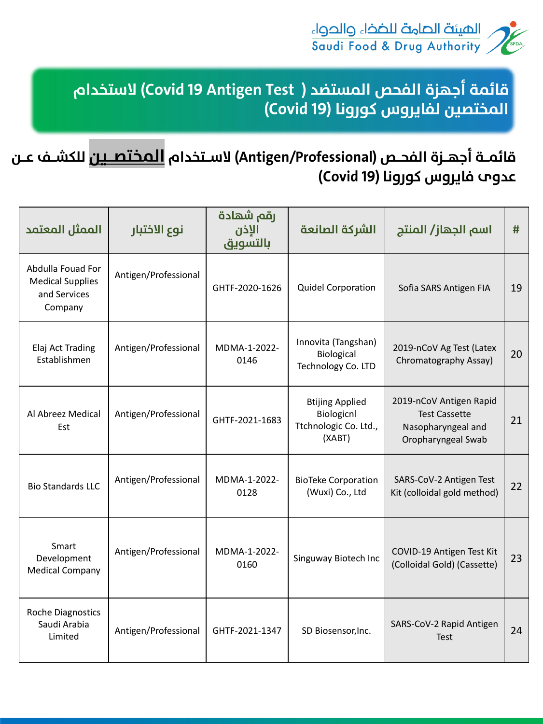

# قائمــة أجهــزة الفحــص (Antigen/Professional) لاســتخدام <mark>الـمختصــيـن</mark> للكشــف عــن عدوم فايروس كورونا (Covid 19)

| الممثل المعتمد                                                          | نوع الاختبار         | رقم شهادة<br>الإذن<br>بالتسويق | الشركة الصانعة                                                          | اسم الجهاز/ المنتج                                                                          | #  |
|-------------------------------------------------------------------------|----------------------|--------------------------------|-------------------------------------------------------------------------|---------------------------------------------------------------------------------------------|----|
| Abdulla Fouad For<br><b>Medical Supplies</b><br>and Services<br>Company | Antigen/Professional | GHTF-2020-1626                 | <b>Quidel Corporation</b>                                               | Sofia SARS Antigen FIA                                                                      | 19 |
| Elaj Act Trading<br>Establishmen                                        | Antigen/Professional | MDMA-1-2022-<br>0146           | Innovita (Tangshan)<br><b>Biological</b><br>Technology Co. LTD          | 2019-nCoV Ag Test (Latex<br>Chromatography Assay)                                           | 20 |
| Al Abreez Medical<br>Est                                                | Antigen/Professional | GHTF-2021-1683                 | <b>Btijing Applied</b><br>Biologicnl<br>Ttchnologic Co. Ltd.,<br>(XABT) | 2019-nCoV Antigen Rapid<br><b>Test Cassette</b><br>Nasopharyngeal and<br>Oropharyngeal Swab | 21 |
| <b>Bio Standards LLC</b>                                                | Antigen/Professional | MDMA-1-2022-<br>0128           | <b>BioTeke Corporation</b><br>(Wuxi) Co., Ltd                           | SARS-CoV-2 Antigen Test<br>Kit (colloidal gold method)                                      | 22 |
| Smart<br>Development<br><b>Medical Company</b>                          | Antigen/Professional | MDMA-1-2022-<br>0160           | Singuway Biotech Inc                                                    | COVID-19 Antigen Test Kit<br>(Colloidal Gold) (Cassette)                                    | 23 |
| <b>Roche Diagnostics</b><br>Saudi Arabia<br>Limited                     | Antigen/Professional | GHTF-2021-1347                 | SD Biosensor, Inc.                                                      | SARS-CoV-2 Rapid Antigen<br><b>Test</b>                                                     | 24 |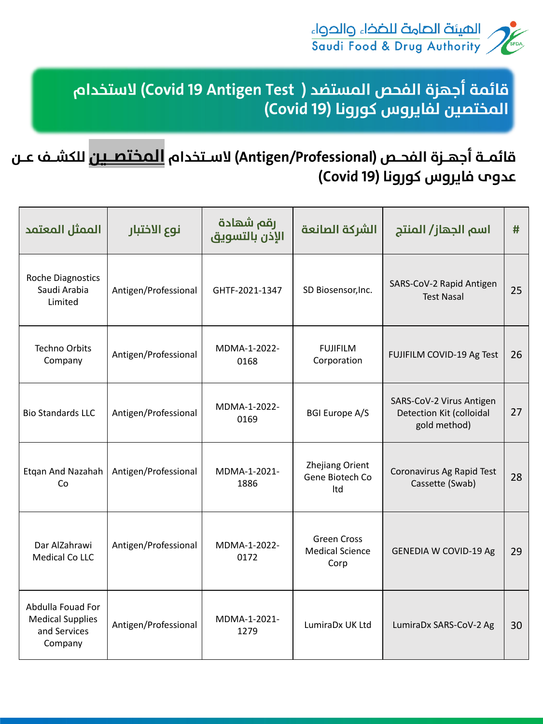

# قائمــة أجهــزة الفحــص (Antigen/Professional) لاســتخدام <mark>الـمختصــيـن</mark> للكشــف عــن عدوم فايروس كورونا (Covid 19)

| الممثل المعتمد                                                          | نوع الاختبار         | رقم شهادة<br>الإذن بالتسويق | الشركة الصانعة                                       | اسم الجهاز/ المنتج                                                   | #  |
|-------------------------------------------------------------------------|----------------------|-----------------------------|------------------------------------------------------|----------------------------------------------------------------------|----|
| <b>Roche Diagnostics</b><br>Saudi Arabia<br>Limited                     | Antigen/Professional | GHTF-2021-1347              | SD Biosensor, Inc.                                   | SARS-CoV-2 Rapid Antigen<br><b>Test Nasal</b>                        | 25 |
| <b>Techno Orbits</b><br>Company                                         | Antigen/Professional | MDMA-1-2022-<br>0168        | <b>FUJIFILM</b><br>Corporation                       | FUJIFILM COVID-19 Ag Test                                            | 26 |
| <b>Bio Standards LLC</b>                                                | Antigen/Professional | MDMA-1-2022-<br>0169        | <b>BGI Europe A/S</b>                                | SARS-CoV-2 Virus Antigen<br>Detection Kit (colloidal<br>gold method) | 27 |
| Etgan And Nazahah<br>Co                                                 | Antigen/Professional | MDMA-1-2021-<br>1886        | <b>Zhejiang Orient</b><br>Gene Biotech Co<br>Itd     | Coronavirus Ag Rapid Test<br>Cassette (Swab)                         | 28 |
| Dar AlZahrawi<br><b>Medical Co LLC</b>                                  | Antigen/Professional | MDMA-1-2022-<br>0172        | <b>Green Cross</b><br><b>Medical Science</b><br>Corp | <b>GENEDIA W COVID-19 Ag</b>                                         | 29 |
| Abdulla Fouad For<br><b>Medical Supplies</b><br>and Services<br>Company | Antigen/Professional | MDMA-1-2021-<br>1279        | LumiraDx UK Ltd                                      | LumiraDx SARS-CoV-2 Ag                                               | 30 |